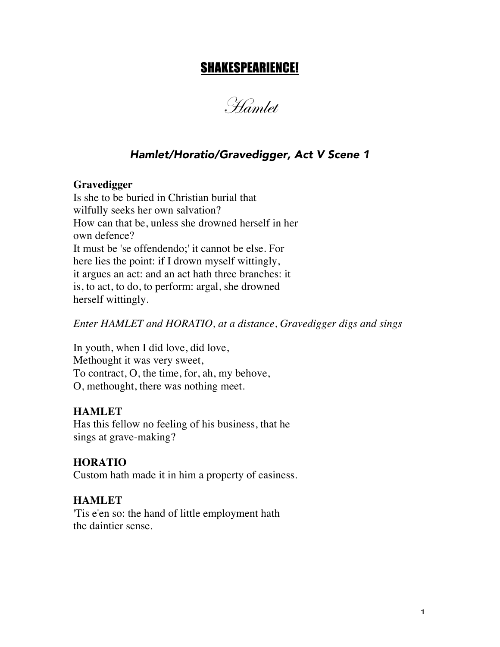# SHAKESPEARIENCE!

Hamlet

# *Hamlet/Horatio/Gravedigger, Act V Scene 1*

### **Gravedigger**

Is she to be buried in Christian burial that wilfully seeks her own salvation? How can that be, unless she drowned herself in her own defence? It must be 'se offendendo;' it cannot be else. For here lies the point: if I drown myself wittingly, it argues an act: and an act hath three branches: it is, to act, to do, to perform: argal, she drowned herself wittingly.

*Enter HAMLET and HORATIO, at a distance*, *Gravedigger digs and sings*

In youth, when I did love, did love, Methought it was very sweet, To contract, O, the time, for, ah, my behove, O, methought, there was nothing meet.

## **HAMLET**

Has this fellow no feeling of his business, that he sings at grave-making?

## **HORATIO**

Custom hath made it in him a property of easiness.

## **HAMLET**

'Tis e'en so: the hand of little employment hath the daintier sense.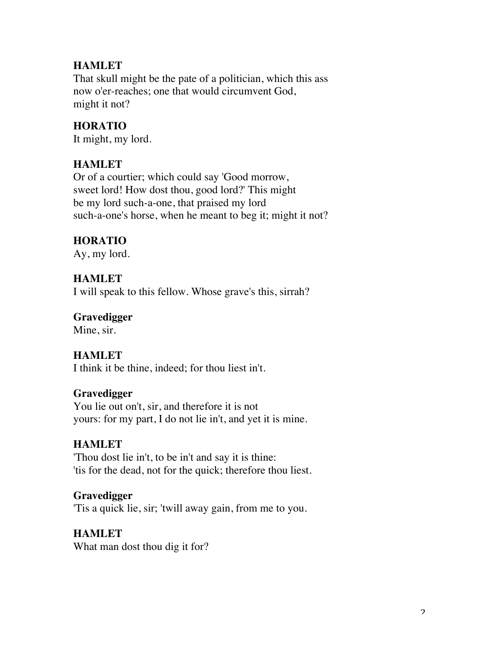## **HAMLET**

That skull might be the pate of a politician, which this ass now o'er-reaches; one that would circumvent God, might it not?

## **HORATIO**

It might, my lord.

## **HAMLET**

Or of a courtier; which could say 'Good morrow, sweet lord! How dost thou, good lord?' This might be my lord such-a-one, that praised my lord such-a-one's horse, when he meant to beg it; might it not?

# **HORATIO**

Ay, my lord.

## **HAMLET**

I will speak to this fellow. Whose grave's this, sirrah?

## **Gravedigger**

Mine, sir.

## **HAMLET**

I think it be thine, indeed; for thou liest in't.

## **Gravedigger**

You lie out on't, sir, and therefore it is not yours: for my part, I do not lie in't, and yet it is mine.

## **HAMLET**

'Thou dost lie in't, to be in't and say it is thine: 'tis for the dead, not for the quick; therefore thou liest.

## **Gravedigger**

'Tis a quick lie, sir; 'twill away gain, from me to you.

## **HAMLET**

What man dost thou dig it for?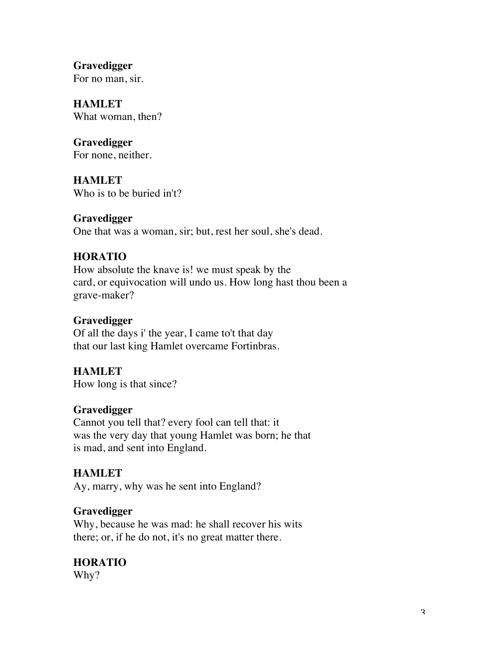**Gravedigger** For no man, sir.

**HAMLET** What woman, then?

**Gravedigger** For none, neither.

**HAMLET** Who is to be buried in't?

## **Gravedigger**

One that was a woman, sir; but, rest her soul, she's dead.

# **HORATIO**

How absolute the knave is! we must speak by the card, or equivocation will undo us. How long hast thou been a grave-maker?

# **Gravedigger**

Of all the days i' the year, I came to't that day that our last king Hamlet overcame Fortinbras.

## **HAMLET**

How long is that since?

## **Gravedigger**

Cannot you tell that? every fool can tell that: it was the very day that young Hamlet was born; he that is mad, and sent into England.

## **HAMLET**

Ay, marry, why was he sent into England?

## **Gravedigger**

Why, because he was mad: he shall recover his wits there; or, if he do not, it's no great matter there.

# **HORATIO**

Why?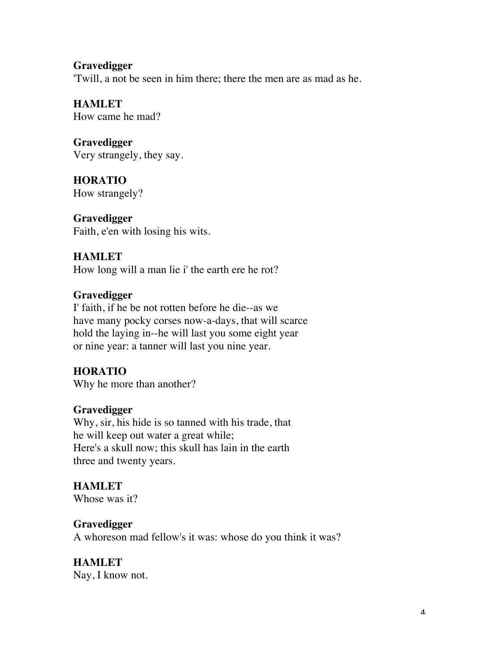## **Gravedigger**

'Twill, a not be seen in him there; there the men are as mad as he.

**HAMLET** How came he mad?

**Gravedigger** Very strangely, they say.

**HORATIO** How strangely?

**Gravedigger** Faith, e'en with losing his wits.

## **HAMLET**

How long will a man lie i' the earth ere he rot?

## **Gravedigger**

I' faith, if he be not rotten before he die--as we have many pocky corses now-a-days, that will scarce hold the laying in--he will last you some eight year or nine year: a tanner will last you nine year.

## **HORATIO**

Why he more than another?

## **Gravedigger**

Why, sir, his hide is so tanned with his trade, that he will keep out water a great while; Here's a skull now; this skull has lain in the earth three and twenty years.

## **HAMLET**

Whose was it?

## **Gravedigger**

A whoreson mad fellow's it was: whose do you think it was?

# **HAMLET**

Nay, I know not.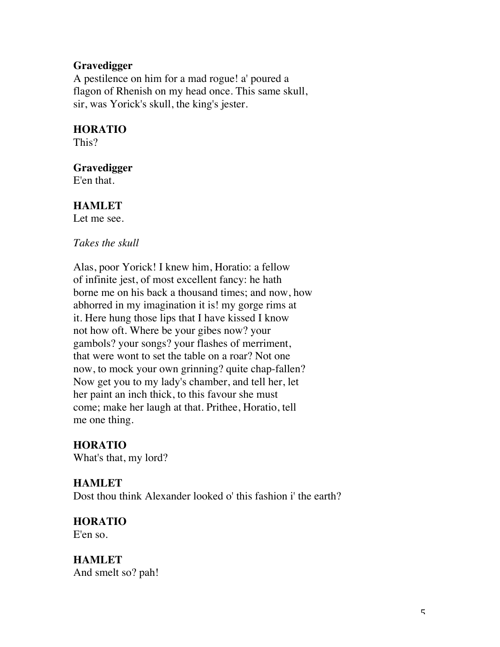### **Gravedigger**

A pestilence on him for a mad rogue! a' poured a flagon of Rhenish on my head once. This same skull, sir, was Yorick's skull, the king's jester.

### **HORATIO**

This?

#### **Gravedigger**

E'en that.

### **HAMLET**

Let me see.

#### *Takes the skull*

Alas, poor Yorick! I knew him, Horatio: a fellow of infinite jest, of most excellent fancy: he hath borne me on his back a thousand times; and now, how abhorred in my imagination it is! my gorge rims at it. Here hung those lips that I have kissed I know not how oft. Where be your gibes now? your gambols? your songs? your flashes of merriment, that were wont to set the table on a roar? Not one now, to mock your own grinning? quite chap-fallen? Now get you to my lady's chamber, and tell her, let her paint an inch thick, to this favour she must come; make her laugh at that. Prithee, Horatio, tell me one thing.

### **HORATIO**

What's that, my lord?

### **HAMLET**

Dost thou think Alexander looked o' this fashion i' the earth?

### **HORATIO**

E'en so.

### **HAMLET** And smelt so? pah!